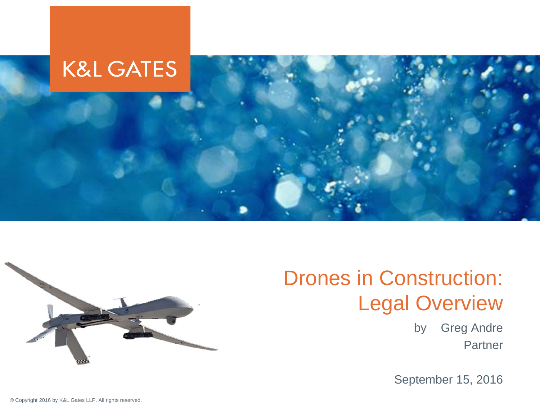



#### Drones in Construction: Legal Overview

by Greg Andre Partner

September 15, 2016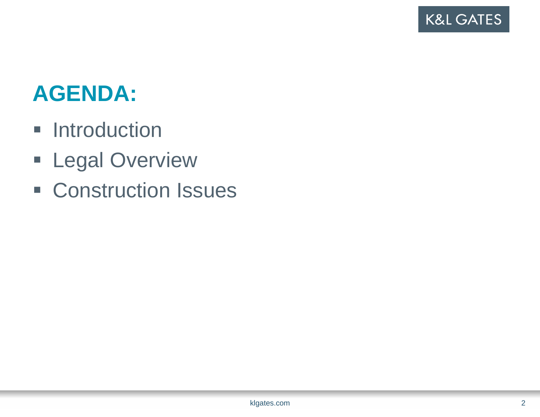#### **AGENDA:**

- **Introduction**
- **ELegal Overview**
- **Example 25 Construction Issues**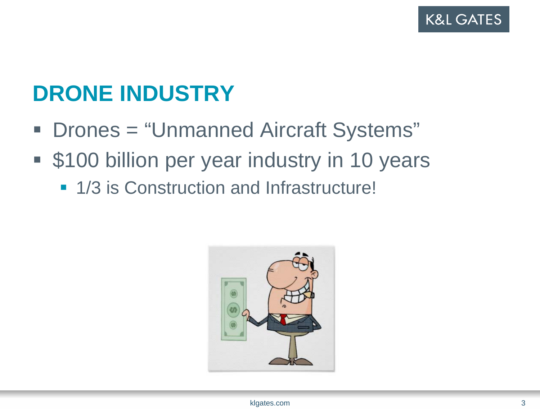### **DRONE INDUSTRY**

- Drones = "Unmanned Aircraft Systems"
- p. **S100 billion per year industry in 10 years** 
	- **1/3 is Construction and Infrastructure!**

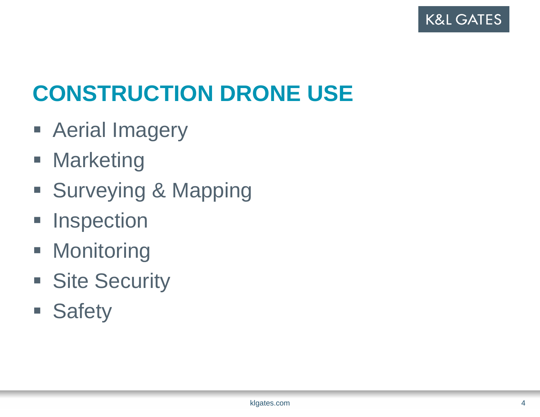

# **CONSTRUCTION DRONE USE**

- **Aerial Imagery**
- **Marketing**
- **Surveying & Mapping**
- **Inspection**
- **Monitoring**
- **Site Security**
- **Safety**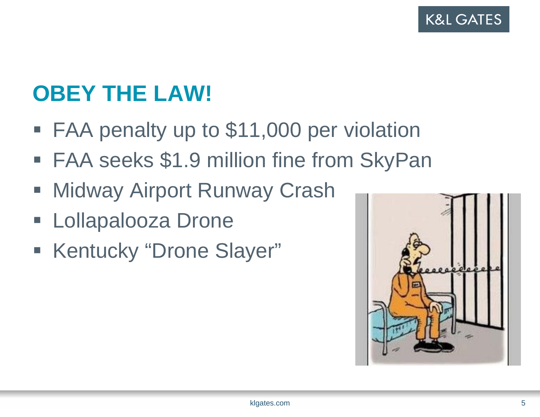**K&L GATES** 

# **OBEY THE LAW!**

- FAA penalty up to \$11,000 per violation
- p. FAA seeks \$1.9 million fine from SkyPan
- $\mathcal{L}_{\mathcal{A}}$ Midway Airport Runway Crash
- $\mathcal{L}_{\mathcal{A}}$ Lollapalooza Drone
- **Kentucky "Drone Slayer"**

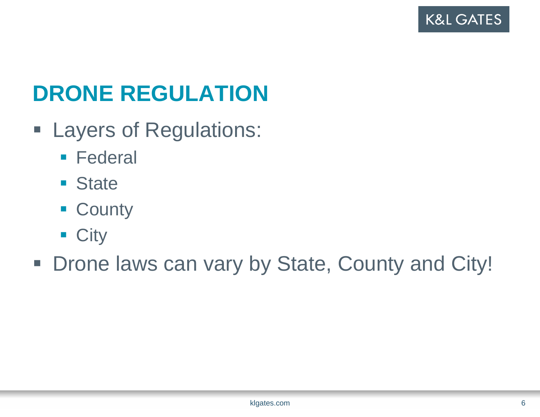# **DRONE REGULATION**

- **Exagers of Regulations:** 
	- **Federal**
	- **State**
	- **County**
	- City

**- Drone laws can vary by State, County and City!**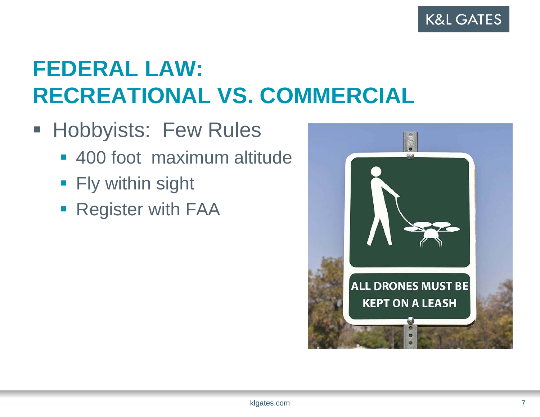# **FEDERAL LAW: RECREATIONAL VS. COMMERCIAL**

- **Hobbyists: Few Rules** 
	- 400 foot maximum altitude
	- $\blacksquare$  Fly within sight
	- **Register with FAA**

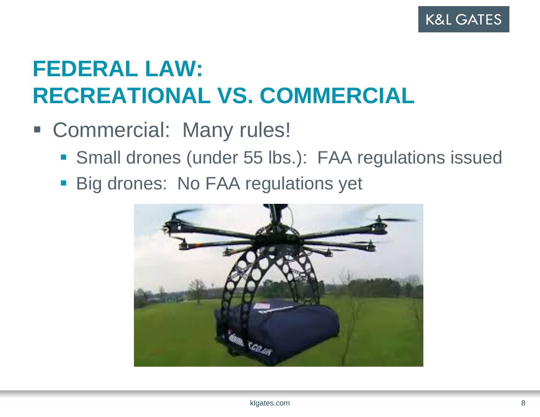

## **FEDERAL LAW: RECREATIONAL VS. COMMERCIAL**

- Commercial: Many rules!
	- Small drones (under 55 lbs.): FAA regulations issued
	- **Big drones: No FAA regulations yet**

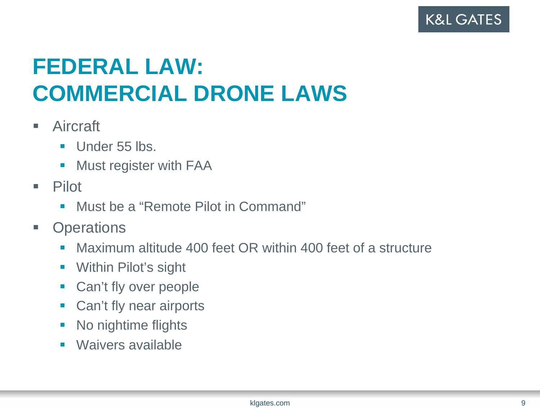# **FEDERAL LAW: COMMERCIAL DRONE LAWS**

- $\overline{\phantom{a}}$  Aircraft
	- $\mathcal{L}_{\mathcal{A}}$ Under 55 lbs.
	- $\mathcal{C}^{\mathcal{A}}$ Must register with FAA
- **The State**  Pilot
	- $\overline{\phantom{a}}$ Must be a "Remote Pilot in Command"
- $\Box$ **Operations** 
	- $\blacksquare$ Maximum altitude 400 feet OR within 400 feet of a structure
	- $\mathcal{L}_{\mathcal{A}}$ Within Pilot's sight
	- $\overline{\phantom{a}}$ Can't fly over people
	- $\Box$ Can't fly near airports
	- $\Box$ No nightime flights
	- $\blacksquare$ Waivers available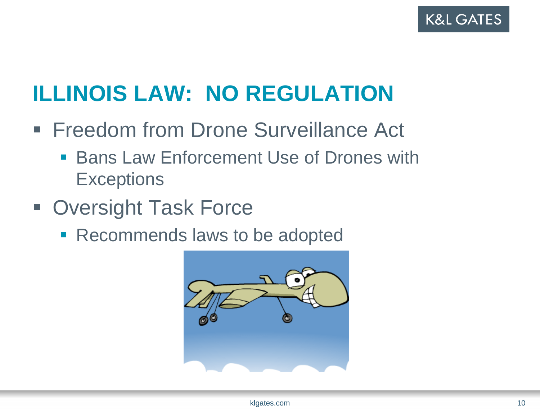

## **ILLINOIS LAW: NO REGULATION**

- **Freedom from Drone Surveillance Act** 
	- **Bans Law Enforcement Use of Drones with Exceptions**
- **Oversight Task Force** 
	- **Recommends laws to be adopted**

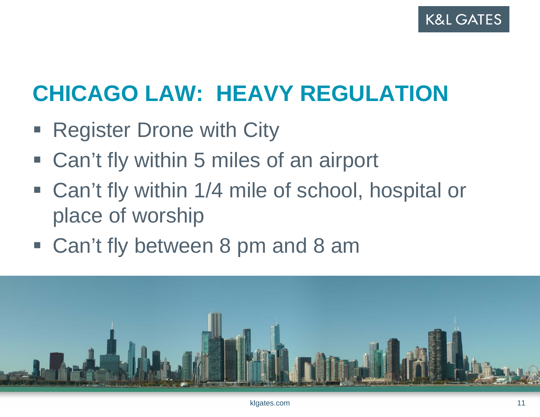

# **CHICAGO LAW: HEAVY REGULATION**

- $\blacksquare$ Register Drone with City
- p. Can't fly within 5 miles of an airport
- Can't fly within 1/4 mile of school, hospital or place of worship
- Can't fly between 8 pm and 8 am

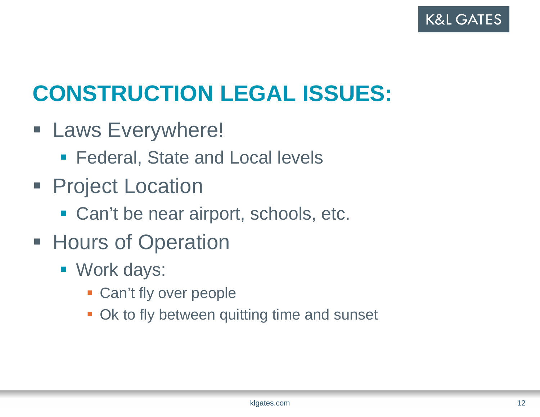

# **CONSTRUCTION LEGAL ISSUES:**

- **Everywhere!** 
	- **Federal, State and Local levels**
- **Project Location** 
	- **Can't be near airport, schools, etc.**
- **Hours of Operation** 
	- Work days:
		- **Can't fly over people**
		- **Ok to fly between quitting time and sunset**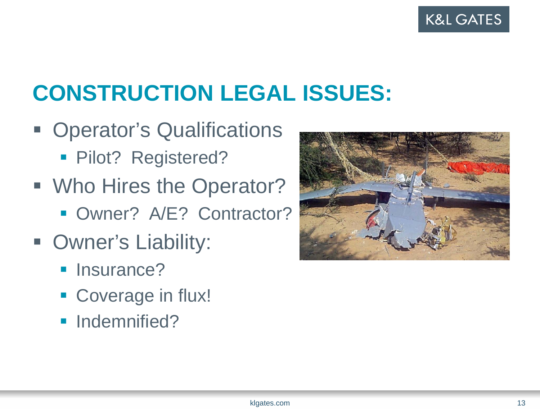

# **CONSTRUCTION LEGAL ISSUES:**

- **Operator's Qualifications** 
	- **Pilot? Registered?**
- **Who Hires the Operator?** 
	- **Owner? A/E? Contractor?**
- **Owner's Liability:** 
	- **Insurance?**
	- **Coverage in flux!**
	- **Indemnified?**